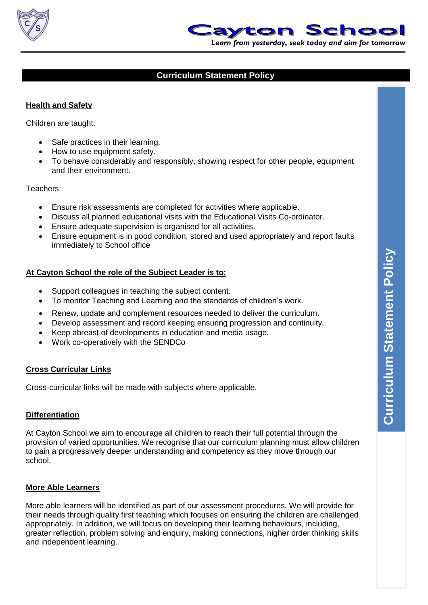



# **Curriculum Statement Policy**

### **Health and Safety**

Children are taught:

- Safe practices in their learning.
- How to use equipment safety.
- To behave considerably and responsibly, showing respect for other people, equipment and their environment.

Teachers:

- Ensure risk assessments are completed for activities where applicable.
- Discuss all planned educational visits with the Educational Visits Co-ordinator.
- Ensure adequate supervision is organised for all activities.
- Ensure equipment is in good condition, stored and used appropriately and report faults immediately to School office

#### **At Cayton School the role of the Subject Leader is to:**

- Support colleagues in teaching the subject content.
- To monitor Teaching and Learning and the standards of children's work.
- Renew, update and complement resources needed to deliver the curriculum.
- Develop assessment and record keeping ensuring progression and continuity.
- Keep abreast of developments in education and media usage.
- Work co-operatively with the SENDCo

### **Cross Curricular Links**

Cross-curricular links will be made with subjects where applicable.

### **Differentiation**

At Cayton School we aim to encourage all children to reach their full potential through the provision of varied opportunities. We recognise that our curriculum planning must allow children to gain a progressively deeper understanding and competency as they move through our school.

#### **More Able Learners**

More able learners will be identified as part of our assessment procedures. We will provide for their needs through quality first teaching which focuses on ensuring the children are challenged appropriately. In addition, we will focus on developing their learning behaviours, including, greater reflection, problem solving and enquiry, making connections, higher order thinking skills and independent learning.